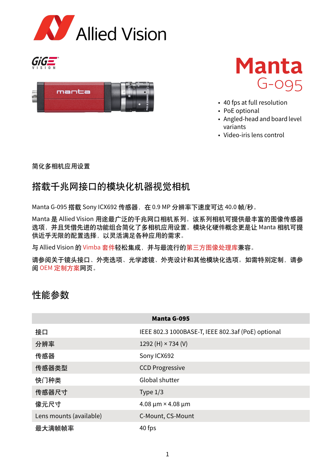







- 40 fps at full resolution
- PoE optional
- Angled-head and board level variants
- Video-iris lens control

简化多相机应用设置

### 搭载千兆网接口的模块化机器视觉相机

Manta G-095 搭载 Sony ICX692 传感器, 在 0.9 MP 分辨率下速度可达 40.0 帧/秒。

Manta 是 Allied Vision 用途最广泛的千兆网口相机系列。该系列相机可提供最丰富的图像传感器 选项,并且凭借先进的功能组合简化了多相机应用设置。模块化硬件概念更是让 Manta 相机可提 供近乎无限的配置选择,以灵活满足各种应用的需求。

与 Allied Vision 的 [Vimba](https://www.alliedvision.com/cn/products/software/vimba-sdk/) 套件轻松集成, 并与最流行[的第三方图像处理库兼](https://www.alliedvision.com/cn/products/software/third-party-software-solutions/)容。

请参阅关于镜头接口、外壳选项、光学滤镜、外壳设计和其他模块化选项。如需特别定制,请参 阅 OEM [定制方案网](https://www.alliedvision.com/cn/products/customization/)页。

#### 性能参数

| <b>Manta G-095</b>      |                                                    |
|-------------------------|----------------------------------------------------|
| 接口                      | IEEE 802.3 1000BASE-T, IEEE 802.3af (PoE) optional |
| 分辨率                     | 1292 (H) $\times$ 734 (V)                          |
| 传感器                     | Sony ICX692                                        |
| 传感器类型                   | <b>CCD Progressive</b>                             |
| 快门种类                    | Global shutter                                     |
| 传感器尺寸                   | Type $1/3$                                         |
| 像元尺寸                    | $4.08 \mu m \times 4.08 \mu m$                     |
| Lens mounts (available) | C-Mount, CS-Mount                                  |
| 最大满帧帧率                  | 40 fps                                             |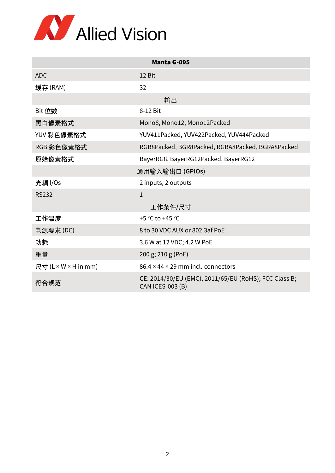

| <b>Manta G-095</b>   |                                                                                  |  |
|----------------------|----------------------------------------------------------------------------------|--|
| <b>ADC</b>           | 12 Bit                                                                           |  |
| 缓存 (RAM)             | 32                                                                               |  |
| 输出                   |                                                                                  |  |
| Bit 位数               | 8-12 Bit                                                                         |  |
| 黑白像素格式               | Mono8, Mono12, Mono12Packed                                                      |  |
| YUV 彩色像素格式           | YUV411Packed, YUV422Packed, YUV444Packed                                         |  |
| RGB 彩色像素格式           | RGB8Packed, BGR8Packed, RGBA8Packed, BGRA8Packed                                 |  |
| 原始像素格式               | BayerRG8, BayerRG12Packed, BayerRG12                                             |  |
| 通用输入输出口(GPIOs)       |                                                                                  |  |
| 光耦 I/Os              | 2 inputs, 2 outputs                                                              |  |
| <b>RS232</b>         | $\mathbf{1}$                                                                     |  |
|                      | 工作条件/尺寸                                                                          |  |
| 工作温度                 | +5 °C to +45 °C                                                                  |  |
| 电源要求(DC)             | 8 to 30 VDC AUX or 802.3af PoE                                                   |  |
| 功耗                   | 3.6 W at 12 VDC; 4.2 W PoE                                                       |  |
| 重量                   | 200 g; 210 g (PoE)                                                               |  |
| 尺寸 (L × W × H in mm) | $86.4 \times 44 \times 29$ mm incl. connectors                                   |  |
| 符合规范                 | CE: 2014/30/EU (EMC), 2011/65/EU (RoHS); FCC Class B;<br><b>CAN ICES-003 (B)</b> |  |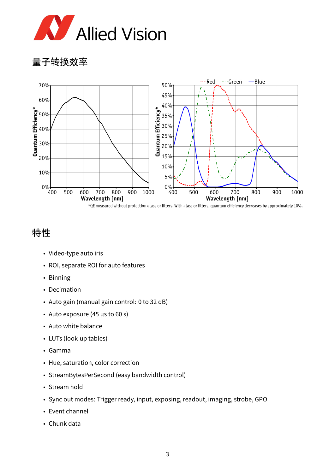

量子转换效率



## 特性

- Video-type auto iris
- ROI, separate ROI for auto features
- Binning
- Decimation
- Auto gain (manual gain control: 0 to 32 dB)
- Auto exposure (45 µs to 60 s)
- Auto white balance
- LUTs (look-up tables)
- Gamma
- Hue, saturation, color correction
- StreamBytesPerSecond (easy bandwidth control)
- Stream hold
- Sync out modes: Trigger ready, input, exposing, readout, imaging, strobe, GPO
- Event channel
- Chunk data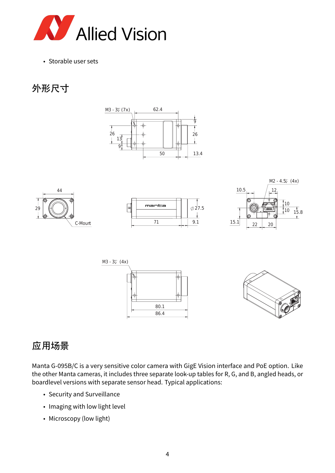

• Storable user sets

# 外形尺寸













### 应用场景

Manta G-095B/C is a very sensitive color camera with GigE Vision interface and PoE option. Like the other Manta cameras, it includes three separate look-up tables for R, G, and B, angled heads, or boardlevel versions with separate sensor head. Typical applications:

- Security and Surveillance
- Imaging with low light level
- Microscopy (low light)